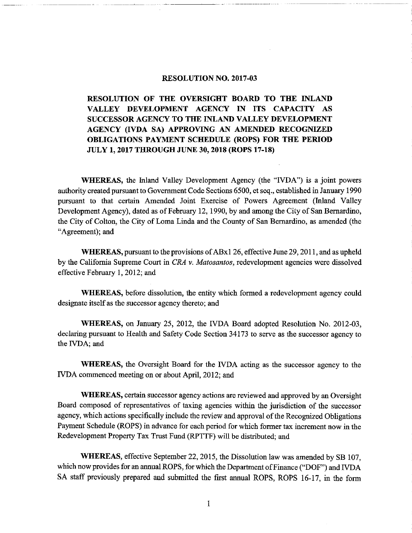### RESOLUTION NO. 2017-03

RESOLUTION OF THE OVERSIGHT BOARD TO THE INLAND VALLEY DEVELOPMENT AGENCY IN ITS CAPACITY AS SUCCESSOR AGENCY TO THE INLAND VALLEY DEVELOPMENT AGENCY ( IVDA SA) APPROVING AN AMENDED RECOGNIZED OBLIGATIONS PAYMENT SCHEDULE (ROPS) FOR THE PERIOD JULY 1, 2017 THROUGH JUNE 30, 2018 (ROPS 17-18)

WHEREAS, the Inland Valley Development Agency (the "IVDA") is a joint powers authority created pursuant to Government Code Sections 6500, et seq., established in January 1990 pursuant to that certain Amended Joint Exercise of Powers Agreement ( Inland Valley Development Agency), dated as of February 12, 1990, by and among the City of San Bernardino, the City of Colton, the City of Loma Linda and the County of San Bernardino, as amended (the Agreement); and

WHEREAS, pursuant to the provisions of ABx1 26, effective June 29, 2011, and as upheld by the California Supreme Court in CRA v. Matosantos, redevelopment agencies were dissolved effective February 1, 2012; and

WHEREAS, before dissolution, the entity which formed a redevelopment agency could designate itself as the successor agency thereto; and

WHEREAS, on January 25, 2012, the IVDA Board adopted Resolution No. 2012-03, declaring pursuant to Health and Safety Code Section 34173 to serve as the successor agency to the IVDA; and

WHEREAS, the Oversight Board for the IVDA acting as the successor agency to the IVDA commenced meeting on or about April, 2012; and

WHEREAS, certain successor agency actions are reviewed and approved by an Oversight Board composed of representatives of taxing agencies within the jurisdiction of the successor agency, which actions specifically include the review and approval of the Recognized Obligations Payment Schedule (ROPS) in advance for each period for which former tax increment now in the Redevelopment Property Tax Trust Fund (RPTTF) will be distributed; and

WHEREAS, effective September 22, 2015, the Dissolution law was amended by SB 107, which now provides for an annual ROPS, for which the Department of Finance ("DOF") and IVDA SA staff previously prepared and submitted the first annual ROPS, ROPS 16-17, in the form

1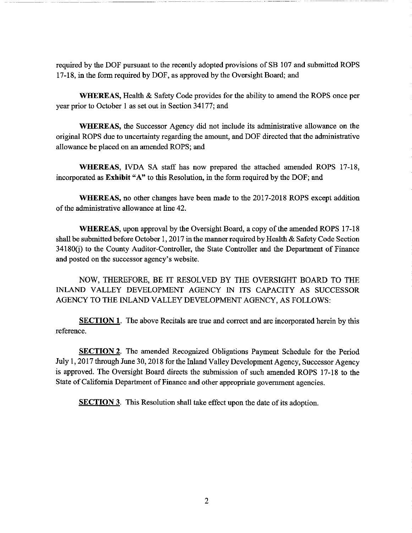required by the DOF pursuant to the recently adopted provisions of SB 107 and submitted ROPS 17- 18, in the form required by DOF, as approved by the Oversight Board; and

WHEREAS, Health & Safety Code provides for the ability to amend the ROPS once per year prior to October <sup>1</sup> as set out in Section 34177; and

WHEREAS, the Successor Agency did not include its administrative allowance on the original ROPS due to uncertainty regarding the amount, and DOF directed that the administrative allowance be placed on an amended ROPS; and

WHEREAS, IVDA SA staff has now prepared the attached amended ROPS 17-18, incorporated as Exhibit "A" to this Resolution, in the form required by the DOF; and

WHEREAS, no other changes have been made to the 2017-2018 ROPS except addition of the administrative allowance at line 42.

WHEREAS, upon approval by the Oversight Board, a copy of the amended ROPS 17-18 shall be submitted before October 1, 2017 in the manner required by Health & Safety Code Section 34180(j) to the County Auditor-Controller, the State Controller and the Department of Finance and posted on the successor agency's website.

NOW, THEREFORE, BE IT RESOLVED BY THE OVERSIGHT BOARD TO THE INLAND VALLEY DEVELOPMENT AGENCY IN ITS CAPACITY AS SUCCESSOR AGENCY TO THE INLAND VALLEY DEVELOPMENT AGENCY, AS FOLLOWS:

**SECTION 1.** The above Recitals are true and correct and are incorporated herein by this reference.

SECTION 2. The amended Recognized Obligations Payment Schedule for the Period July 1, 2017 through June 30, 2018 for the Inland Valley Development Agency, Successor Agency is approved. The Oversight Board directs the submission of such amended ROPS 17-18 to the State of California Department of Finance and other appropriate government agencies.

**SECTION 3.** This Resolution shall take effect upon the date of its adoption.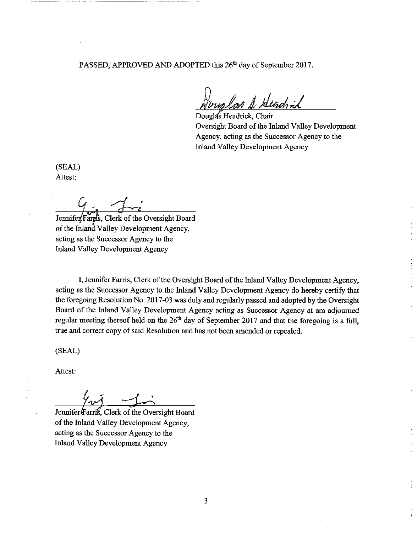PASSED, APPROVED AND ADOPTED this 26<sup>th</sup> day of September 2017.

n 1. .

Douglas Headrick, Chair Oversight Board of the Inland Valley Development Agency, acting as the Successor Agency to the Inland Valley Development Agency

SEAL) Attest:

Jennifer Farms, Clerk of the Oversight Board

of the Inland Valley Development Agency, acting as the Successor Agency to the Inland Valley Development Agency

I, Jennifer Farris, Clerk of the Oversight Board of the Inland Valley Development Agency, acting as the Successor Agency to the Inland Valley Development Agency do hereby certify that the foregoing Resolution No. 2017-03 was duly and regularly passed and adopted by the Oversight Board of the Inland Valley Development Agency acting as Successor Agency at am adjourned regular meeting thereof held on the  $26<sup>th</sup>$  day of September 2017 and that the foregoing is a full, true and correct copy of said Resolution and has not been amended or repealed.

SEAL)

Attest:

Jennifer#arri , Clerk of the Oversight Board of the Inland Valley Development Agency, acting as the Successor Agency to the Inland Valley Development Agency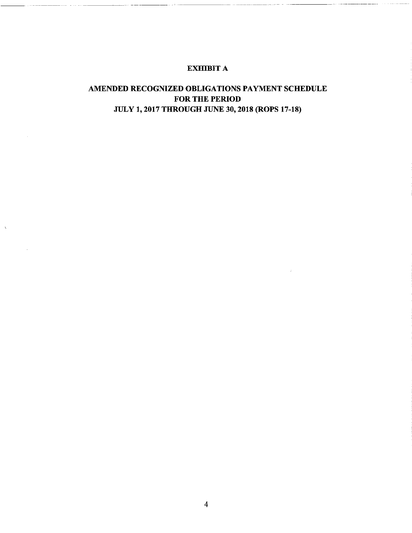## EXHIBIT A

# AMENDED RECOGNIZED OBLIGATIONS PAYMENT SCHEDULE FOR THE PERIOD JULY 1, 2017 THROUGH JUNE 30, 2018 (ROPS 17-18)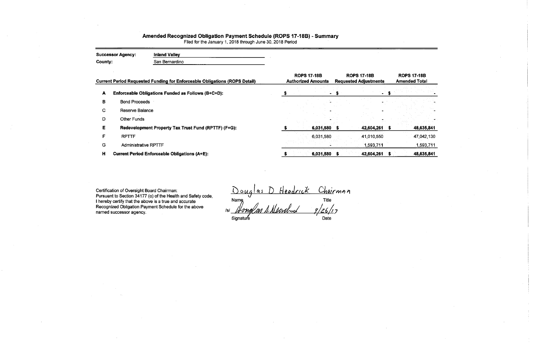# Amended Recognized Obligation Payment Schedule (ROPS 17-18B) - Summary

Filed for the January 1, 2018 through June 30, 2018 Period

| <b>Successor Agency:</b><br>County: |                             | <b>Inland Valley</b><br>San Bernardino                                            |                                                 |                                                    |    |                                            |
|-------------------------------------|-----------------------------|-----------------------------------------------------------------------------------|-------------------------------------------------|----------------------------------------------------|----|--------------------------------------------|
|                                     |                             | <b>Current Period Requested Funding for Enforceable Obligations (ROPS Detail)</b> | <b>ROPS 17-18B</b><br><b>Authorized Amounts</b> | <b>ROPS 17-18B</b><br><b>Requested Adjustments</b> |    | <b>ROPS 17-18B</b><br><b>Amended Total</b> |
| A                                   |                             | Enforceable Obligations Funded as Follows (B+C+D):                                |                                                 |                                                    |    |                                            |
| B                                   | <b>Bond Proceeds</b>        |                                                                                   |                                                 |                                                    |    |                                            |
| C.                                  | Reserve Balance             |                                                                                   |                                                 |                                                    |    |                                            |
| D                                   | <b>Other Funds</b>          |                                                                                   |                                                 |                                                    |    |                                            |
| Е                                   |                             | Redevelopment Property Tax Trust Fund (RPTTF) (F+G):                              | 6,031,580                                       | 42,604,261                                         |    | 48,635,841                                 |
| F                                   | <b>RPTTF</b>                |                                                                                   | 6,031,580                                       | 41,010,550                                         |    | 47,042,130                                 |
| G                                   | <b>Administrative RPTTF</b> |                                                                                   |                                                 | 1,593,711                                          |    | 1,593,711                                  |
| H                                   |                             | <b>Current Period Enforceable Obligations (A+E):</b>                              | 6,031,580                                       | 42,604,261                                         | S. | 48,635,841                                 |

Certification of Oversight Board Chairman: Pursuant to Section 34177 (o) of the Health and Safety code, <sup>I</sup> hereby certify that the above is a true and accurate Recognized Obligation Payment Schedule for the above named successor agency.

<u>ouglas D Headrick Choi</u>rman Name **Name is a contract of the Contract of Title** s/ 7 Signature **Date Date** 

| $-18B$<br>iustments | <b>ROPS 17-18B</b><br><b>Amended Total</b> |  |  |  |  |  |  |  |
|---------------------|--------------------------------------------|--|--|--|--|--|--|--|
|                     | \$                                         |  |  |  |  |  |  |  |
|                     |                                            |  |  |  |  |  |  |  |
|                     |                                            |  |  |  |  |  |  |  |
| 2,604,261           | \$<br>48,635,841                           |  |  |  |  |  |  |  |
| 1.010,550           | 47 042,130                                 |  |  |  |  |  |  |  |
| 1,593,711           | 1 593 711                                  |  |  |  |  |  |  |  |
| 2,604,261           | 48,635,841                                 |  |  |  |  |  |  |  |